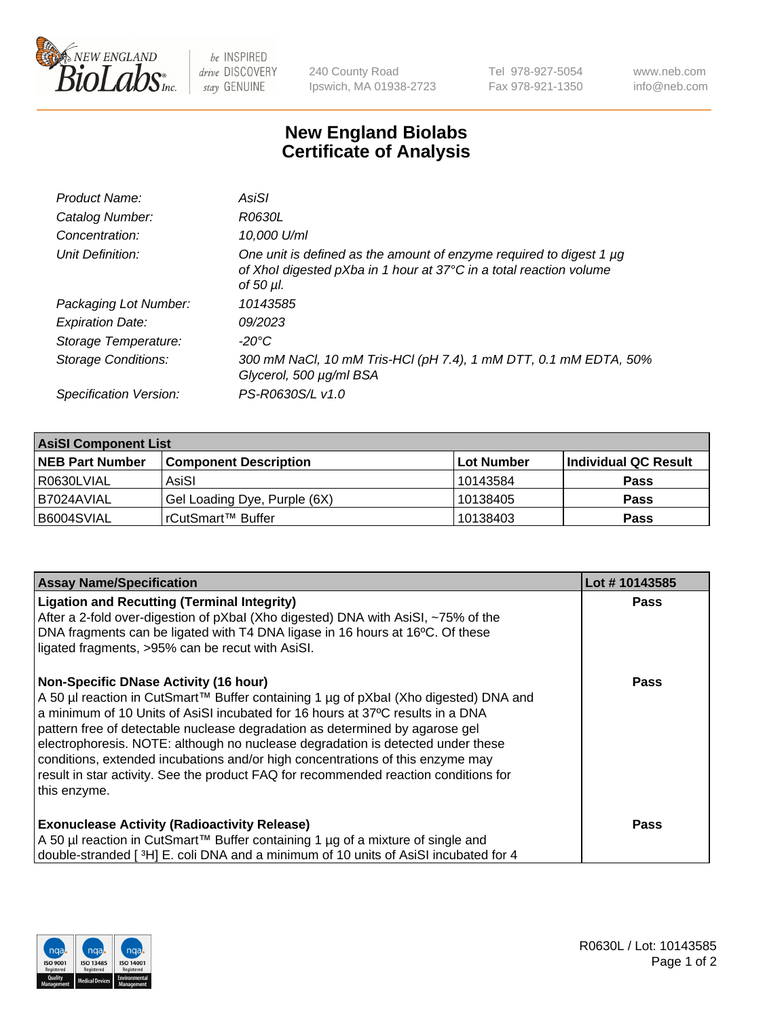

 $be$  INSPIRED drive DISCOVERY stay GENUINE

240 County Road Ipswich, MA 01938-2723 Tel 978-927-5054 Fax 978-921-1350 www.neb.com info@neb.com

## **New England Biolabs Certificate of Analysis**

| Product Name:              | AsiSI                                                                                                                                                  |
|----------------------------|--------------------------------------------------------------------------------------------------------------------------------------------------------|
| Catalog Number:            | R0630L                                                                                                                                                 |
| Concentration:             | 10,000 U/ml                                                                                                                                            |
| Unit Definition:           | One unit is defined as the amount of enzyme required to digest 1 µg<br>of Xhol digested pXba in 1 hour at 37°C in a total reaction volume<br>of 50 µl. |
| Packaging Lot Number:      | 10143585                                                                                                                                               |
| <b>Expiration Date:</b>    | 09/2023                                                                                                                                                |
| Storage Temperature:       | $-20^{\circ}$ C                                                                                                                                        |
| <b>Storage Conditions:</b> | 300 mM NaCl, 10 mM Tris-HCl (pH 7.4), 1 mM DTT, 0.1 mM EDTA, 50%<br>Glycerol, 500 µg/ml BSA                                                            |
| Specification Version:     | PS-R0630S/L v1.0                                                                                                                                       |

| <b>AsiSI Component List</b> |                              |            |                      |  |  |
|-----------------------------|------------------------------|------------|----------------------|--|--|
| <b>NEB Part Number</b>      | <b>Component Description</b> | Lot Number | Individual QC Result |  |  |
| R0630LVIAL                  | AsiSI                        | l 10143584 | <b>Pass</b>          |  |  |
| I B7024AVIAL                | Gel Loading Dye, Purple (6X) | 10138405   | <b>Pass</b>          |  |  |
| B6004SVIAL                  | l rCutSmart™ Buffer_         | 10138403   | <b>Pass</b>          |  |  |

| <b>Assay Name/Specification</b>                                                                                                                                                                                                                                                                                                                                                                                                                                                                                                                                                     | Lot #10143585 |
|-------------------------------------------------------------------------------------------------------------------------------------------------------------------------------------------------------------------------------------------------------------------------------------------------------------------------------------------------------------------------------------------------------------------------------------------------------------------------------------------------------------------------------------------------------------------------------------|---------------|
| <b>Ligation and Recutting (Terminal Integrity)</b><br>After a 2-fold over-digestion of pXbal (Xho digested) DNA with AsiSI, ~75% of the<br>DNA fragments can be ligated with T4 DNA ligase in 16 hours at 16°C. Of these                                                                                                                                                                                                                                                                                                                                                            | Pass          |
| ligated fragments, >95% can be recut with AsiSI.                                                                                                                                                                                                                                                                                                                                                                                                                                                                                                                                    |               |
| <b>Non-Specific DNase Activity (16 hour)</b><br>A 50 µl reaction in CutSmart™ Buffer containing 1 µg of pXbal (Xho digested) DNA and<br>a minimum of 10 Units of AsiSI incubated for 16 hours at 37°C results in a DNA<br>pattern free of detectable nuclease degradation as determined by agarose gel<br>electrophoresis. NOTE: although no nuclease degradation is detected under these<br>conditions, extended incubations and/or high concentrations of this enzyme may<br>result in star activity. See the product FAQ for recommended reaction conditions for<br>this enzyme. | Pass          |
| <b>Exonuclease Activity (Radioactivity Release)</b>                                                                                                                                                                                                                                                                                                                                                                                                                                                                                                                                 | Pass          |
| A 50 µl reaction in CutSmart™ Buffer containing 1 µg of a mixture of single and<br>double-stranded [3H] E. coli DNA and a minimum of 10 units of AsiSI incubated for 4                                                                                                                                                                                                                                                                                                                                                                                                              |               |